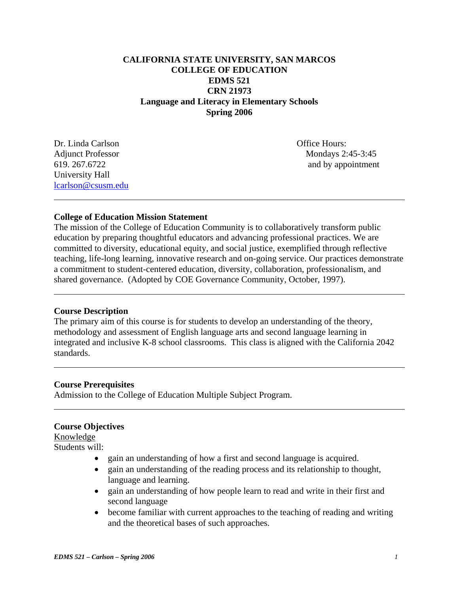# **CALIFORNIA STATE UNIVERSITY, SAN MARCOS COLLEGE OF EDUCATION EDMS 521 CRN 21973 Language and Literacy in Elementary Schools Spring 2006**

Dr. Linda Carlson **Dr. Linda Carlson Dr. Linda Carlson** University Hall lcarlson@csusm.edu

 $\overline{a}$ 

 $\overline{a}$ 

 $\overline{a}$ 

 $\overline{a}$ 

Adjunct Professor Mondays 2:45-3:45 619. 267.6722 and by appointment

# **College of Education Mission Statement**

The mission of the College of Education Community is to collaboratively transform public education by preparing thoughtful educators and advancing professional practices. We are committed to diversity, educational equity, and social justice, exemplified through reflective teaching, life-long learning, innovative research and on-going service. Our practices demonstrate a commitment to student-centered education, diversity, collaboration, professionalism, and shared governance. (Adopted by COE Governance Community, October, 1997).

# **Course Description**

The primary aim of this course is for students to develop an understanding of the theory, methodology and assessment of English language arts and second language learning in integrated and inclusive K-8 school classrooms. This class is aligned with the California 2042 standards.

### **Course Prerequisites**

Admission to the College of Education Multiple Subject Program.

# **Course Objectives**

Knowledge Students will:

- gain an understanding of how a first and second language is acquired.
- gain an understanding of the reading process and its relationship to thought, language and learning.
- gain an understanding of how people learn to read and write in their first and second language
- become familiar with current approaches to the teaching of reading and writing and the theoretical bases of such approaches.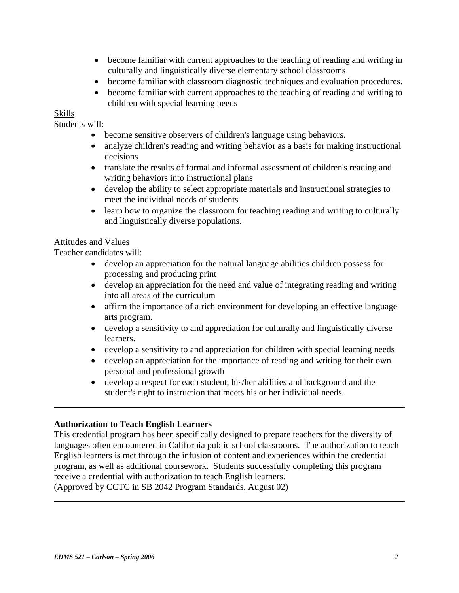- become familiar with current approaches to the teaching of reading and writing in culturally and linguistically diverse elementary school classrooms
- become familiar with classroom diagnostic techniques and evaluation procedures.
- become familiar with current approaches to the teaching of reading and writing to children with special learning needs

# Skills

 $\overline{a}$ 

 $\overline{a}$ 

Students will:

- become sensitive observers of children's language using behaviors.
- analyze children's reading and writing behavior as a basis for making instructional decisions
- translate the results of formal and informal assessment of children's reading and writing behaviors into instructional plans
- develop the ability to select appropriate materials and instructional strategies to meet the individual needs of students
- learn how to organize the classroom for teaching reading and writing to culturally and linguistically diverse populations.

# Attitudes and Values

Teacher candidates will:

- develop an appreciation for the natural language abilities children possess for processing and producing print
- develop an appreciation for the need and value of integrating reading and writing into all areas of the curriculum
- affirm the importance of a rich environment for developing an effective language arts program.
- develop a sensitivity to and appreciation for culturally and linguistically diverse learners.
- develop a sensitivity to and appreciation for children with special learning needs
- develop an appreciation for the importance of reading and writing for their own personal and professional growth
- develop a respect for each student, his/her abilities and background and the student's right to instruction that meets his or her individual needs.

# **Authorization to Teach English Learners**

This credential program has been specifically designed to prepare teachers for the diversity of languages often encountered in California public school classrooms. The authorization to teach English learners is met through the infusion of content and experiences within the credential program, as well as additional coursework. Students successfully completing this program receive a credential with authorization to teach English learners.

(Approved by CCTC in SB 2042 Program Standards, August 02)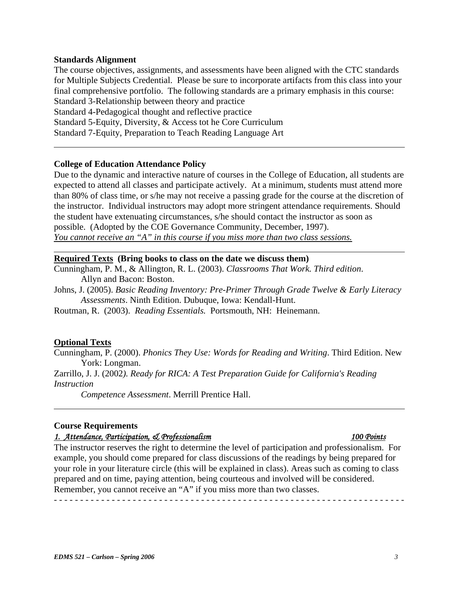### **Standards Alignment**

 $\overline{a}$ 

 $\overline{a}$ 

 $\overline{a}$ 

The course objectives, assignments, and assessments have been aligned with the CTC standards for Multiple Subjects Credential. Please be sure to incorporate artifacts from this class into your final comprehensive portfolio. The following standards are a primary emphasis in this course: Standard 3-Relationship between theory and practice Standard 4-Pedagogical thought and reflective practice Standard 5-Equity, Diversity, & Access tot he Core Curriculum Standard 7-Equity, Preparation to Teach Reading Language Art

### **College of Education Attendance Policy**

Due to the dynamic and interactive nature of courses in the College of Education, all students are expected to attend all classes and participate actively. At a minimum, students must attend more than 80% of class time, or s/he may not receive a passing grade for the course at the discretion of the instructor. Individual instructors may adopt more stringent attendance requirements. Should the student have extenuating circumstances, s/he should contact the instructor as soon as possible. (Adopted by the COE Governance Community, December, 1997). *You cannot receive an "A" in this course if you miss more than two class sessions.*

#### **Required Texts (Bring books to class on the date we discuss them)**

Cunningham, P. M., & Allington, R. L. (2003). *Classrooms That Work. Third edition*. Allyn and Bacon: Boston.

Johns, J. (2005). *Basic Reading Inventory: Pre-Primer Through Grade Twelve & Early Literacy Assessments*. Ninth Edition. Dubuque, Iowa: Kendall-Hunt.

Routman, R. (2003). *Reading Essentials.* Portsmouth, NH: Heinemann.

#### **Optional Texts**

Cunningham, P. (2000). *Phonics They Use: Words for Reading and Writing*. Third Edition. New York: Longman.

Zarrillo, J. J. (2002*). Ready for RICA: A Test Preparation Guide for California's Reading Instruction* 

*Competence Assessment*. Merrill Prentice Hall.

### **Course Requirements**

#### *1. Attendance, Participation, & Professionalism 100 Points*

The instructor reserves the right to determine the level of participation and professionalism. For example, you should come prepared for class discussions of the readings by being prepared for your role in your literature circle (this will be explained in class). Areas such as coming to class prepared and on time, paying attention, being courteous and involved will be considered. Remember, you cannot receive an "A" if you miss more than two classes.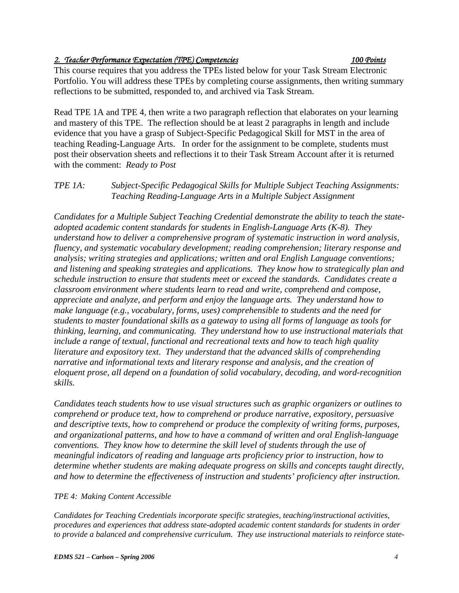# *2. Teacher Performance Expectation (TPE) Competencies 100 Points*

This course requires that you address the TPEs listed below for your Task Stream Electronic Portfolio. You will address these TPEs by completing course assignments, then writing summary reflections to be submitted, responded to, and archived via Task Stream.

Read TPE 1A and TPE 4, then write a two paragraph reflection that elaborates on your learning and mastery of this TPE. The reflection should be at least 2 paragraphs in length and include evidence that you have a grasp of Subject-Specific Pedagogical Skill for MST in the area of teaching Reading-Language Arts. In order for the assignment to be complete, students must post their observation sheets and reflections it to their Task Stream Account after it is returned with the comment: *Ready to Post* 

# *TPE 1A: Subject-Specific Pedagogical Skills for Multiple Subject Teaching Assignments: Teaching Reading-Language Arts in a Multiple Subject Assignment*

*Candidates for a Multiple Subject Teaching Credential demonstrate the ability to teach the stateadopted academic content standards for students in English-Language Arts (K-8). They understand how to deliver a comprehensive program of systematic instruction in word analysis, fluency, and systematic vocabulary development; reading comprehension; literary response and analysis; writing strategies and applications; written and oral English Language conventions; and listening and speaking strategies and applications. They know how to strategically plan and schedule instruction to ensure that students meet or exceed the standards. Candidates create a classroom environment where students learn to read and write, comprehend and compose, appreciate and analyze, and perform and enjoy the language arts. They understand how to make language (e.g., vocabulary, forms, uses) comprehensible to students and the need for students to master foundational skills as a gateway to using all forms of language as tools for thinking, learning, and communicating. They understand how to use instructional materials that include a range of textual, functional and recreational texts and how to teach high quality literature and expository text. They understand that the advanced skills of comprehending narrative and informational texts and literary response and analysis, and the creation of eloquent prose, all depend on a foundation of solid vocabulary, decoding, and word-recognition skills.* 

*Candidates teach students how to use visual structures such as graphic organizers or outlines to comprehend or produce text, how to comprehend or produce narrative, expository, persuasive and descriptive texts, how to comprehend or produce the complexity of writing forms, purposes, and organizational patterns, and how to have a command of written and oral English-language conventions. They know how to determine the skill level of students through the use of meaningful indicators of reading and language arts proficiency prior to instruction, how to determine whether students are making adequate progress on skills and concepts taught directly, and how to determine the effectiveness of instruction and students' proficiency after instruction.* 

# *TPE 4: Making Content Accessible*

*Candidates for Teaching Credentials incorporate specific strategies, teaching/instructional activities, procedures and experiences that address state-adopted academic content standards for students in order to provide a balanced and comprehensive curriculum. They use instructional materials to reinforce state-*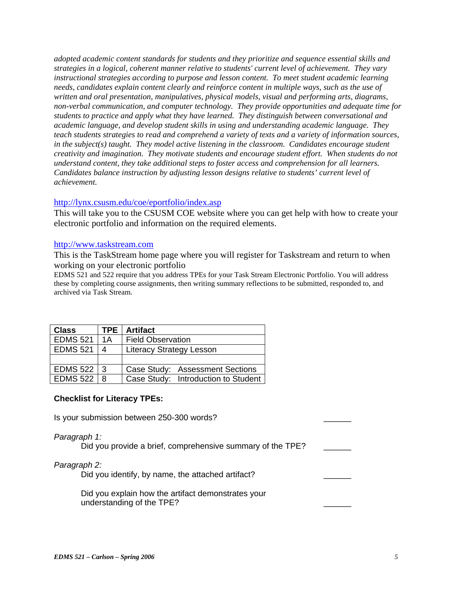*adopted academic content standards for students and they prioritize and sequence essential skills and strategies in a logical, coherent manner relative to students' current level of achievement. They vary instructional strategies according to purpose and lesson content. To meet student academic learning needs, candidates explain content clearly and reinforce content in multiple ways, such as the use of written and oral presentation, manipulatives, physical models, visual and performing arts, diagrams, non-verbal communication, and computer technology. They provide opportunities and adequate time for students to practice and apply what they have learned. They distinguish between conversational and academic language, and develop student skills in using and understanding academic language. They teach students strategies to read and comprehend a variety of texts and a variety of information sources, in the subject(s) taught. They model active listening in the classroom. Candidates encourage student creativity and imagination. They motivate students and encourage student effort. When students do not understand content, they take additional steps to foster access and comprehension for all learners. Candidates balance instruction by adjusting lesson designs relative to students' current level of achievement.* 

#### http://lynx.csusm.edu/coe/eportfolio/index.asp

This will take you to the CSUSM COE website where you can get help with how to create your electronic portfolio and information on the required elements.

#### http://www.taskstream.com

This is the TaskStream home page where you will register for Taskstream and return to when working on your electronic portfolio

EDMS 521 and 522 require that you address TPEs for your Task Stream Electronic Portfolio. You will address these by completing course assignments, then writing summary reflections to be submitted, responded to, and archived via Task Stream.

| Class           | <b>TPE</b> | <b>Artifact</b>                     |  |
|-----------------|------------|-------------------------------------|--|
| <b>EDMS 521</b> | 1 A        | <b>Field Observation</b>            |  |
| <b>EDMS 521</b> | 4          | <b>Literacy Strategy Lesson</b>     |  |
|                 |            |                                     |  |
| EDMS 522 3      |            | Case Study: Assessment Sections     |  |
| <b>EDMS 522</b> | -8         | Case Study: Introduction to Student |  |

### **Checklist for Literacy TPEs:**

Is your submission between 250-300 words?

#### *Paragraph 1:*

Did you provide a brief, comprehensive summary of the TPE?

### *Paragraph 2:*

Did you identify, by name, the attached artifact?

 Did you explain how the artifact demonstrates your understanding of the TPE?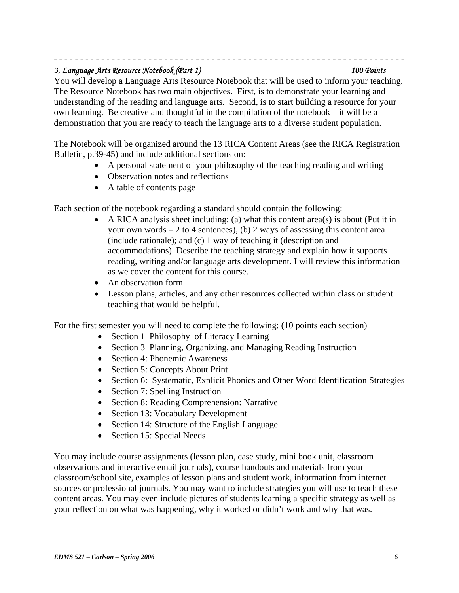### - - - - - - - - - - - - - - - - - - - - - - - - - - - - - - - - - - - - - - - - - - - - - - - - - - - - - - - - - - - - - - - - - - - *3, Language Arts Resource Notebook (Part 1) 100 Points*

You will develop a Language Arts Resource Notebook that will be used to inform your teaching. The Resource Notebook has two main objectives. First, is to demonstrate your learning and understanding of the reading and language arts. Second, is to start building a resource for your own learning. Be creative and thoughtful in the compilation of the notebook—it will be a demonstration that you are ready to teach the language arts to a diverse student population.

The Notebook will be organized around the 13 RICA Content Areas (see the RICA Registration Bulletin, p.39-45) and include additional sections on:

- A personal statement of your philosophy of the teaching reading and writing
- Observation notes and reflections
- A table of contents page

Each section of the notebook regarding a standard should contain the following:

- A RICA analysis sheet including: (a) what this content area(s) is about (Put it in your own words  $-2$  to 4 sentences), (b) 2 ways of assessing this content area (include rationale); and (c) 1 way of teaching it (description and accommodations). Describe the teaching strategy and explain how it supports reading, writing and/or language arts development. I will review this information as we cover the content for this course.
- An observation form
- Lesson plans, articles, and any other resources collected within class or student teaching that would be helpful.

For the first semester you will need to complete the following: (10 points each section)

- Section 1 Philosophy of Literacy Learning
- Section 3 Planning, Organizing, and Managing Reading Instruction
- Section 4: Phonemic Awareness
- Section 5: Concepts About Print
- Section 6: Systematic, Explicit Phonics and Other Word Identification Strategies
- Section 7: Spelling Instruction
- Section 8: Reading Comprehension: Narrative
- Section 13: Vocabulary Development
- Section 14: Structure of the English Language
- Section 15: Special Needs

You may include course assignments (lesson plan, case study, mini book unit, classroom observations and interactive email journals), course handouts and materials from your classroom/school site, examples of lesson plans and student work, information from internet sources or professional journals. You may want to include strategies you will use to teach these content areas. You may even include pictures of students learning a specific strategy as well as your reflection on what was happening, why it worked or didn't work and why that was.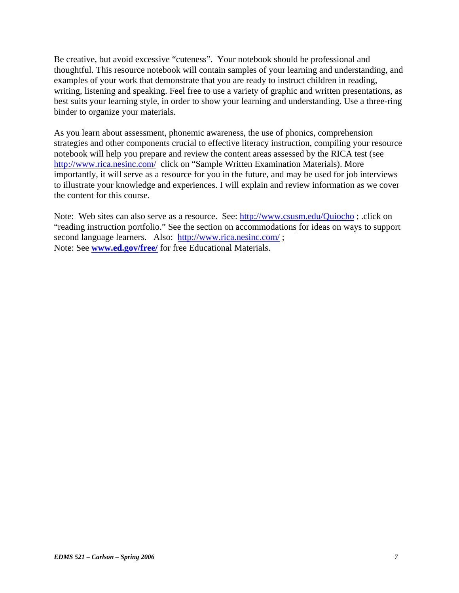Be creative, but avoid excessive "cuteness". Your notebook should be professional and thoughtful. This resource notebook will contain samples of your learning and understanding, and examples of your work that demonstrate that you are ready to instruct children in reading, writing, listening and speaking. Feel free to use a variety of graphic and written presentations, as best suits your learning style, in order to show your learning and understanding. Use a three-ring binder to organize your materials.

As you learn about assessment, phonemic awareness, the use of phonics, comprehension strategies and other components crucial to effective literacy instruction, compiling your resource notebook will help you prepare and review the content areas assessed by the RICA test (see http://www.rica.nesinc.com/ click on "Sample Written Examination Materials). More importantly, it will serve as a resource for you in the future, and may be used for job interviews to illustrate your knowledge and experiences. I will explain and review information as we cover the content for this course.

Note: Web sites can also serve as a resource. See: http://www.csusm.edu/Quiocho ; .click on "reading instruction portfolio." See the section on accommodations for ideas on ways to support second language learners. Also: http://www.rica.nesinc.com/; Note: See **www.ed.gov/free/** for free Educational Materials.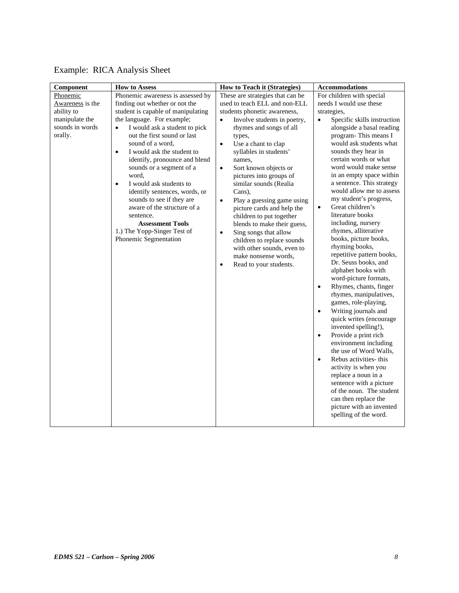| Component                                                                                  | <b>How to Assess</b>                                                                                                                                                                                                                                                                                                                                                                                                                                                                                                                                                                           | <b>How to Teach it (Strategies)</b>                                                                                                                                                                                                                                                                                                                                                                                                                                                                                                                                                                                                                                  | <b>Accommodations</b>                                                                                                                                                                                                                                                                                                                                                                                                                                                                                                                                                                                                                                                                                                                                                                                                                                                                                                                                                                                                                                                                                                                         |  |  |
|--------------------------------------------------------------------------------------------|------------------------------------------------------------------------------------------------------------------------------------------------------------------------------------------------------------------------------------------------------------------------------------------------------------------------------------------------------------------------------------------------------------------------------------------------------------------------------------------------------------------------------------------------------------------------------------------------|----------------------------------------------------------------------------------------------------------------------------------------------------------------------------------------------------------------------------------------------------------------------------------------------------------------------------------------------------------------------------------------------------------------------------------------------------------------------------------------------------------------------------------------------------------------------------------------------------------------------------------------------------------------------|-----------------------------------------------------------------------------------------------------------------------------------------------------------------------------------------------------------------------------------------------------------------------------------------------------------------------------------------------------------------------------------------------------------------------------------------------------------------------------------------------------------------------------------------------------------------------------------------------------------------------------------------------------------------------------------------------------------------------------------------------------------------------------------------------------------------------------------------------------------------------------------------------------------------------------------------------------------------------------------------------------------------------------------------------------------------------------------------------------------------------------------------------|--|--|
| Phonemic<br>Awareness is the<br>ability to<br>manipulate the<br>sounds in words<br>orally. | Phonemic awareness is assessed by<br>finding out whether or not the<br>student is capable of manipulating<br>the language. For example;<br>I would ask a student to pick<br>$\bullet$<br>out the first sound or last<br>sound of a word,<br>I would ask the student to<br>$\bullet$<br>identify, pronounce and blend<br>sounds or a segment of a<br>word,<br>I would ask students to<br>$\bullet$<br>identify sentences, words, or<br>sounds to see if they are<br>aware of the structure of a<br>sentence.<br><b>Assessment Tools</b><br>1.) The Yopp-Singer Test of<br>Phonemic Segmentation | These are strategies that can be<br>used to teach ELL and non-ELL<br>students phonetic awareness,<br>Involve students in poetry,<br>$\bullet$<br>rhymes and songs of all<br>types,<br>Use a chant to clap<br>$\bullet$<br>syllables in students'<br>names,<br>Sort known objects or<br>$\bullet$<br>pictures into groups of<br>similar sounds (Realia<br>Cans),<br>Play a guessing game using<br>$\bullet$<br>picture cards and help the<br>children to put together<br>blends to make their guess,<br>Sing songs that allow<br>$\bullet$<br>children to replace sounds<br>with other sounds, even to<br>make nonsense words,<br>Read to your students.<br>$\bullet$ | For children with special<br>needs I would use these<br>strategies,<br>Specific skills instruction<br>$\bullet$<br>alongside a basal reading<br>program-This means I<br>would ask students what<br>sounds they hear in<br>certain words or what<br>word would make sense<br>in an empty space within<br>a sentence. This strategy<br>would allow me to assess<br>my student's progress,<br>Great children's<br>$\bullet$<br>literature books<br>including, nursery<br>rhymes, alliterative<br>books, picture books,<br>rhyming books,<br>repetitive pattern books,<br>Dr. Seuss books, and<br>alphabet books with<br>word-picture formats,<br>Rhymes, chants, finger<br>$\bullet$<br>rhymes, manipulatives,<br>games, role-playing,<br>Writing journals and<br>$\bullet$<br>quick writes (encourage<br>invented spelling!),<br>Provide a print rich<br>$\bullet$<br>environment including<br>the use of Word Walls,<br>Rebus activities- this<br>$\bullet$<br>activity is when you<br>replace a noun in a<br>sentence with a picture<br>of the noun. The student<br>can then replace the<br>picture with an invented<br>spelling of the word. |  |  |

# Example: RICA Analysis Sheet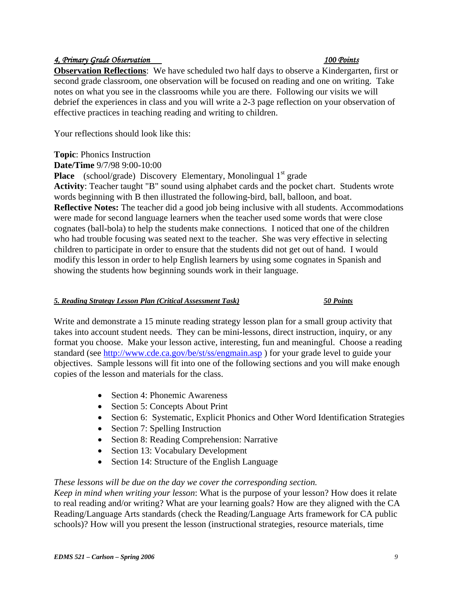# *4, Primary Grade Observation 100 Points*

**Observation Reflections**: We have scheduled two half days to observe a Kindergarten, first or second grade classroom, one observation will be focused on reading and one on writing. Take notes on what you see in the classrooms while you are there. Following our visits we will debrief the experiences in class and you will write a 2-3 page reflection on your observation of effective practices in teaching reading and writing to children.

Your reflections should look like this:

**Topic**: Phonics Instruction

**Date/Time** 9/7/98 9:00-10:00

**Place** (school/grade) Discovery Elementary, Monolingual 1<sup>st</sup> grade

**Activity**: Teacher taught "B" sound using alphabet cards and the pocket chart. Students wrote words beginning with B then illustrated the following-bird, ball, balloon, and boat. **Reflective Notes:** The teacher did a good job being inclusive with all students. Accommodations were made for second language learners when the teacher used some words that were close cognates (ball-bola) to help the students make connections. I noticed that one of the children who had trouble focusing was seated next to the teacher. She was very effective in selecting children to participate in order to ensure that the students did not get out of hand. I would modify this lesson in order to help English learners by using some cognates in Spanish and showing the students how beginning sounds work in their language.

# *5. Reading Strategy Lesson Plan (Critical Assessment Task) 50 Points*

Write and demonstrate a 15 minute reading strategy lesson plan for a small group activity that takes into account student needs. They can be mini-lessons, direct instruction, inquiry, or any format you choose. Make your lesson active, interesting, fun and meaningful. Choose a reading standard (see http://www.cde.ca.gov/be/st/ss/engmain.asp ) for your grade level to guide your objectives. Sample lessons will fit into one of the following sections and you will make enough copies of the lesson and materials for the class.

- Section 4: Phonemic Awareness
- Section 5: Concepts About Print
- Section 6: Systematic, Explicit Phonics and Other Word Identification Strategies
- Section 7: Spelling Instruction
- Section 8: Reading Comprehension: Narrative
- Section 13: Vocabulary Development
- Section 14: Structure of the English Language

# *These lessons will be due on the day we cover the corresponding section.*

*Keep in mind when writing your lesson*: What is the purpose of your lesson? How does it relate to real reading and/or writing? What are your learning goals? How are they aligned with the CA Reading/Language Arts standards (check the Reading/Language Arts framework for CA public schools)? How will you present the lesson (instructional strategies, resource materials, time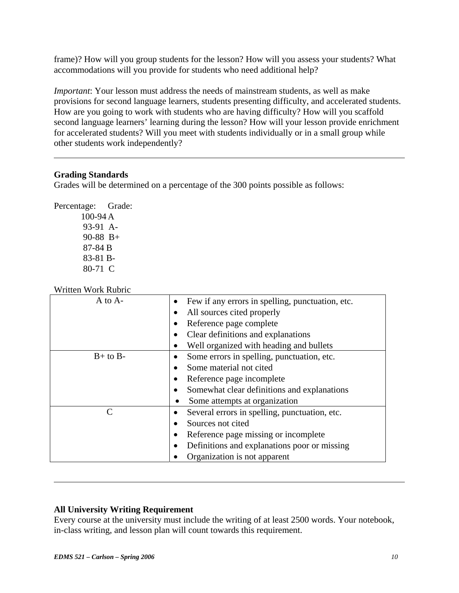frame)? How will you group students for the lesson? How will you assess your students? What accommodations will you provide for students who need additional help?

*Important*: Your lesson must address the needs of mainstream students, as well as make provisions for second language learners, students presenting difficulty, and accelerated students. How are you going to work with students who are having difficulty? How will you scaffold second language learners' learning during the lesson? How will your lesson provide enrichment for accelerated students? Will you meet with students individually or in a small group while other students work independently?

# **Grading Standards**

 $\overline{a}$ 

 $\overline{a}$ 

Grades will be determined on a percentage of the 300 points possible as follows:

Percentage: Grade: 100-94 A 93-91 A-90-88 B+ 87-84 B 83-81 B-80-71 C

Written Work Rubric

| $A$ to $A-$  | Few if any errors in spelling, punctuation, etc. |  |
|--------------|--------------------------------------------------|--|
|              | All sources cited properly                       |  |
|              | Reference page complete                          |  |
|              | Clear definitions and explanations               |  |
|              | Well organized with heading and bullets          |  |
| $B+$ to $B-$ | Some errors in spelling, punctuation, etc.       |  |
|              | Some material not cited                          |  |
|              | Reference page incomplete                        |  |
|              | Somewhat clear definitions and explanations      |  |
|              | Some attempts at organization                    |  |
|              | Several errors in spelling, punctuation, etc.    |  |
|              | Sources not cited                                |  |
|              | Reference page missing or incomplete             |  |
|              | Definitions and explanations poor or missing     |  |
|              | Organization is not apparent                     |  |

# **All University Writing Requirement**

Every course at the university must include the writing of at least 2500 words. Your notebook, in-class writing, and lesson plan will count towards this requirement.